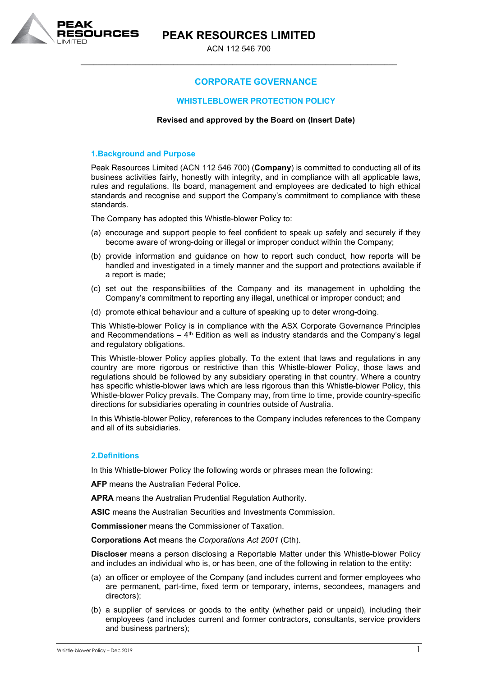

ACN 112 546 700 \_\_\_\_\_\_\_\_\_\_\_\_\_\_\_\_\_\_\_\_\_\_\_\_\_\_\_\_\_\_\_\_\_\_\_\_\_\_\_\_\_\_\_\_\_\_\_\_\_\_\_\_\_\_\_\_\_\_\_\_\_\_\_\_\_\_\_\_\_\_\_\_\_\_\_

# **CORPORATE GOVERNANCE**

### **WHISTLEBLOWER PROTECTION POLICY**

#### **Revised and approved by the Board on (Insert Date)**

### **1.Background and Purpose**

Peak Resources Limited (ACN 112 546 700) (**Company**) is committed to conducting all of its business activities fairly, honestly with integrity, and in compliance with all applicable laws, rules and regulations. Its board, management and employees are dedicated to high ethical standards and recognise and support the Company's commitment to compliance with these standards.

The Company has adopted this Whistle-blower Policy to:

- (a) encourage and support people to feel confident to speak up safely and securely if they become aware of wrong-doing or illegal or improper conduct within the Company;
- (b) provide information and guidance on how to report such conduct, how reports will be handled and investigated in a timely manner and the support and protections available if a report is made;
- (c) set out the responsibilities of the Company and its management in upholding the Company's commitment to reporting any illegal, unethical or improper conduct; and
- (d) promote ethical behaviour and a culture of speaking up to deter wrong-doing.

This Whistle-blower Policy is in compliance with the ASX Corporate Governance Principles and Recommendations  $-4$ <sup>th</sup> Edition as well as industry standards and the Company's legal and regulatory obligations.

This Whistle-blower Policy applies globally. To the extent that laws and regulations in any country are more rigorous or restrictive than this Whistle-blower Policy, those laws and regulations should be followed by any subsidiary operating in that country. Where a country has specific whistle-blower laws which are less rigorous than this Whistle-blower Policy, this Whistle-blower Policy prevails. The Company may, from time to time, provide country-specific directions for subsidiaries operating in countries outside of Australia.

In this Whistle-blower Policy, references to the Company includes references to the Company and all of its subsidiaries.

### **2.Definitions**

In this Whistle-blower Policy the following words or phrases mean the following:

**AFP** means the Australian Federal Police.

**APRA** means the Australian Prudential Regulation Authority.

**ASIC** means the Australian Securities and Investments Commission.

**Commissioner** means the Commissioner of Taxation.

**Corporations Act** means the *Corporations Act 2001* (Cth).

**Discloser** means a person disclosing a Reportable Matter under this Whistle-blower Policy and includes an individual who is, or has been, one of the following in relation to the entity:

- (a) an officer or employee of the Company (and includes current and former employees who are permanent, part-time, fixed term or temporary, interns, secondees, managers and directors);
- (b) a supplier of services or goods to the entity (whether paid or unpaid), including their employees (and includes current and former contractors, consultants, service providers and business partners);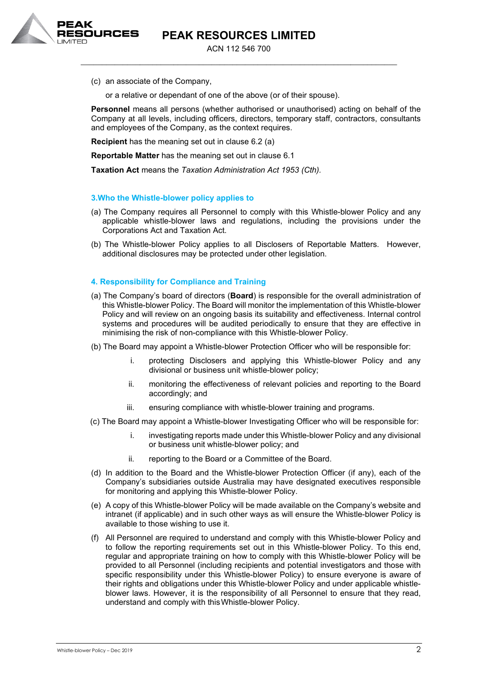ACN 112 546 700 \_\_\_\_\_\_\_\_\_\_\_\_\_\_\_\_\_\_\_\_\_\_\_\_\_\_\_\_\_\_\_\_\_\_\_\_\_\_\_\_\_\_\_\_\_\_\_\_\_\_\_\_\_\_\_\_\_\_\_\_\_\_\_\_\_\_\_\_\_\_\_\_\_\_\_

(c) an associate of the Company,

URCES

or a relative or dependant of one of the above (or of their spouse).

**Personnel** means all persons (whether authorised or unauthorised) acting on behalf of the Company at all levels, including officers, directors, temporary staff, contractors, consultants and employees of the Company, as the context requires.

**Recipient** has the meaning set out in clause 6.2 (a)

**Reportable Matter** has the meaning set out in clause 6.1

**Taxation Act** means the *Taxation Administration Act 1953 (Cth).*

### **3.Who the Whistle-blower policy applies to**

- (a) The Company requires all Personnel to comply with this Whistle-blower Policy and any applicable whistle-blower laws and regulations, including the provisions under the Corporations Act and Taxation Act.
- (b) The Whistle-blower Policy applies to all Disclosers of Reportable Matters. However, additional disclosures may be protected under other legislation.

### **4. Responsibility for Compliance and Training**

- (a) The Company's board of directors (**Board**) is responsible for the overall administration of this Whistle-blower Policy. The Board will monitor the implementation of this Whistle-blower Policy and will review on an ongoing basis its suitability and effectiveness. Internal control systems and procedures will be audited periodically to ensure that they are effective in minimising the risk of non-compliance with this Whistle-blower Policy.
- (b) The Board may appoint a Whistle-blower Protection Officer who will be responsible for:
	- i. protecting Disclosers and applying this Whistle-blower Policy and any divisional or business unit whistle-blower policy;
	- ii. monitoring the effectiveness of relevant policies and reporting to the Board accordingly; and
	- iii. ensuring compliance with whistle-blower training and programs.
- (c) The Board may appoint a Whistle-blower Investigating Officer who will be responsible for:
	- i. investigating reports made under this Whistle-blower Policy and any divisional or business unit whistle-blower policy; and
	- ii. reporting to the Board or a Committee of the Board.
- (d) In addition to the Board and the Whistle-blower Protection Officer (if any), each of the Company's subsidiaries outside Australia may have designated executives responsible for monitoring and applying this Whistle-blower Policy.
- (e) A copy of this Whistle-blower Policy will be made available on the Company's website and intranet (if applicable) and in such other ways as will ensure the Whistle-blower Policy is available to those wishing to use it.
- (f) All Personnel are required to understand and comply with this Whistle-blower Policy and to follow the reporting requirements set out in this Whistle-blower Policy. To this end, regular and appropriate training on how to comply with this Whistle-blower Policy will be provided to all Personnel (including recipients and potential investigators and those with specific responsibility under this Whistle-blower Policy) to ensure everyone is aware of their rights and obligations under this Whistle-blower Policy and under applicable whistleblower laws. However, it is the responsibility of all Personnel to ensure that they read, understand and comply with thisWhistle-blower Policy.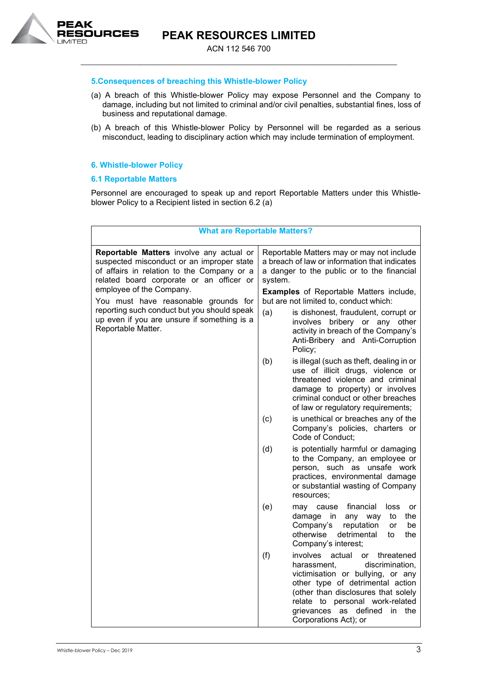

ACN 112 546 700 \_\_\_\_\_\_\_\_\_\_\_\_\_\_\_\_\_\_\_\_\_\_\_\_\_\_\_\_\_\_\_\_\_\_\_\_\_\_\_\_\_\_\_\_\_\_\_\_\_\_\_\_\_\_\_\_\_\_\_\_\_\_\_\_\_\_\_\_\_\_\_\_\_\_\_

### **5.Consequences of breaching this Whistle-blower Policy**

- (a) A breach of this Whistle-blower Policy may expose Personnel and the Company to damage, including but not limited to criminal and/or civil penalties, substantial fines, loss of business and reputational damage.
- (b) A breach of this Whistle-blower Policy by Personnel will be regarded as a serious misconduct, leading to disciplinary action which may include termination of employment.

# **6. Whistle-blower Policy**

# **6.1 Reportable Matters**

Personnel are encouraged to speak up and report Reportable Matters under this Whistleblower Policy to a Recipient listed in section 6.2 (a)

| <b>What are Reportable Matters?</b>                                                                                                                                                                                                                                                                                                                                     |                                                                                                                                                                                                                                                                                                                                                                                                                          |                                                                                                                                                                                                                                                                                               |  |
|-------------------------------------------------------------------------------------------------------------------------------------------------------------------------------------------------------------------------------------------------------------------------------------------------------------------------------------------------------------------------|--------------------------------------------------------------------------------------------------------------------------------------------------------------------------------------------------------------------------------------------------------------------------------------------------------------------------------------------------------------------------------------------------------------------------|-----------------------------------------------------------------------------------------------------------------------------------------------------------------------------------------------------------------------------------------------------------------------------------------------|--|
| Reportable Matters involve any actual or<br>suspected misconduct or an improper state<br>of affairs in relation to the Company or a<br>related board corporate or an officer or<br>employee of the Company.<br>You must have reasonable grounds for<br>reporting such conduct but you should speak<br>up even if you are unsure if something is a<br>Reportable Matter. | Reportable Matters may or may not include<br>a breach of law or information that indicates<br>a danger to the public or to the financial<br>system.<br><b>Examples</b> of Reportable Matters include,<br>but are not limited to, conduct which:<br>(a)<br>is dishonest, fraudulent, corrupt or<br>bribery or any other<br>involves<br>activity in breach of the Company's<br>Anti-Bribery and Anti-Corruption<br>Policy; |                                                                                                                                                                                                                                                                                               |  |
|                                                                                                                                                                                                                                                                                                                                                                         | (b)                                                                                                                                                                                                                                                                                                                                                                                                                      | is illegal (such as theft, dealing in or<br>use of illicit drugs, violence or<br>threatened violence and criminal<br>damage to property) or involves<br>criminal conduct or other breaches<br>of law or regulatory requirements;                                                              |  |
|                                                                                                                                                                                                                                                                                                                                                                         | (c)                                                                                                                                                                                                                                                                                                                                                                                                                      | is unethical or breaches any of the<br>Company's policies, charters or<br>Code of Conduct;                                                                                                                                                                                                    |  |
|                                                                                                                                                                                                                                                                                                                                                                         | (d)                                                                                                                                                                                                                                                                                                                                                                                                                      | is potentially harmful or damaging<br>to the Company, an employee or<br>person, such as unsafe work<br>practices, environmental damage<br>or substantial wasting of Company<br>resources:                                                                                                     |  |
|                                                                                                                                                                                                                                                                                                                                                                         | (e)                                                                                                                                                                                                                                                                                                                                                                                                                      | financial<br>cause<br>loss<br>may<br>or<br>damage<br>the<br>in any way<br>to<br>Company's<br>reputation<br>or<br>be<br>otherwise<br>detrimental<br>to<br>the<br>Company's interest;                                                                                                           |  |
|                                                                                                                                                                                                                                                                                                                                                                         | (f)                                                                                                                                                                                                                                                                                                                                                                                                                      | involves<br>actual<br>or threatened<br>harassment.<br>discrimination,<br>victimisation or bullying, or any<br>other type of detrimental action<br>(other than disclosures that solely<br>relate to personal work-related<br>grievances<br>defined<br>in<br>as<br>the<br>Corporations Act); or |  |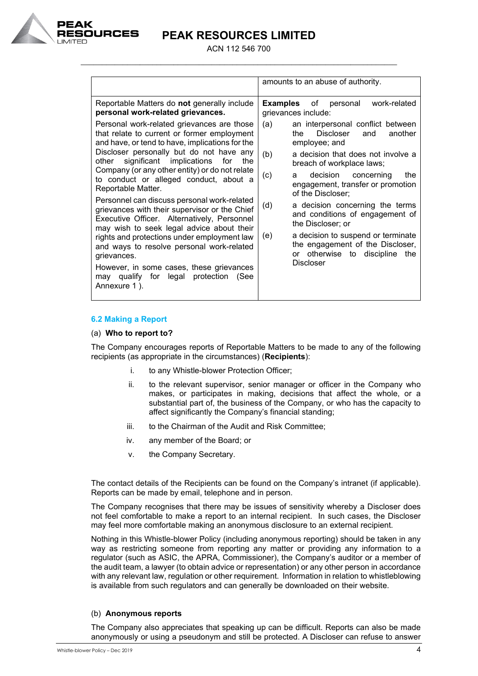

ACN 112 546 700 \_\_\_\_\_\_\_\_\_\_\_\_\_\_\_\_\_\_\_\_\_\_\_\_\_\_\_\_\_\_\_\_\_\_\_\_\_\_\_\_\_\_\_\_\_\_\_\_\_\_\_\_\_\_\_\_\_\_\_\_\_\_\_\_\_\_\_\_\_\_\_\_\_\_\_

|                                                                                                                                                                                                                                                                                                                                                                                                                                                                                                                                                                                                                                                                                                                                                              | amounts to an abuse of authority.                                                                                                                                                                                                                                                                                                                                                                                                                                                                                            |
|--------------------------------------------------------------------------------------------------------------------------------------------------------------------------------------------------------------------------------------------------------------------------------------------------------------------------------------------------------------------------------------------------------------------------------------------------------------------------------------------------------------------------------------------------------------------------------------------------------------------------------------------------------------------------------------------------------------------------------------------------------------|------------------------------------------------------------------------------------------------------------------------------------------------------------------------------------------------------------------------------------------------------------------------------------------------------------------------------------------------------------------------------------------------------------------------------------------------------------------------------------------------------------------------------|
| Reportable Matters do not generally include<br>personal work-related grievances.                                                                                                                                                                                                                                                                                                                                                                                                                                                                                                                                                                                                                                                                             | <b>Examples</b><br>of<br>work-related<br>personal<br>grievances include:                                                                                                                                                                                                                                                                                                                                                                                                                                                     |
| Personal work-related grievances are those<br>that relate to current or former employment<br>and have, or tend to have, implications for the<br>Discloser personally but do not have any<br>other significant implications<br>for<br>the<br>Company (or any other entity) or do not relate<br>to conduct or alleged conduct, about a<br>Reportable Matter.<br>Personnel can discuss personal work-related<br>grievances with their supervisor or the Chief<br>Executive Officer. Alternatively, Personnel<br>may wish to seek legal advice about their<br>rights and protections under employment law<br>and ways to resolve personal work-related<br>grievances.<br>However, in some cases, these grievances<br>may qualify for<br>legal protection<br>(See | (a)<br>an interpersonal conflict between<br><b>Discloser</b><br>the<br>and<br>another<br>employee; and<br>(b)<br>a decision that does not involve a<br>breach of workplace laws;<br>(c)<br>decision<br>concerning<br>the<br>a<br>engagement, transfer or promotion<br>of the Discloser;<br>(d)<br>a decision concerning the terms<br>and conditions of engagement of<br>the Discloser; or<br>a decision to suspend or terminate<br>(e)<br>the engagement of the Discloser,<br>or otherwise to discipline<br>the<br>Discloser |
| Annexure 1).                                                                                                                                                                                                                                                                                                                                                                                                                                                                                                                                                                                                                                                                                                                                                 |                                                                                                                                                                                                                                                                                                                                                                                                                                                                                                                              |

# **6.2 Making a Report**

### (a) **Who to report to?**

The Company encourages reports of Reportable Matters to be made to any of the following recipients (as appropriate in the circumstances) (**Recipients**):

- i. to any Whistle-blower Protection Officer;
- ii. to the relevant supervisor, senior manager or officer in the Company who makes, or participates in making, decisions that affect the whole, or a substantial part of, the business of the Company, or who has the capacity to affect significantly the Company's financial standing;
- iii. to the Chairman of the Audit and Risk Committee;
- iv. any member of the Board; or
- v. the Company Secretary.

The contact details of the Recipients can be found on the Company's intranet (if applicable). Reports can be made by email, telephone and in person.

The Company recognises that there may be issues of sensitivity whereby a Discloser does not feel comfortable to make a report to an internal recipient. In such cases, the Discloser may feel more comfortable making an anonymous disclosure to an external recipient.

Nothing in this Whistle-blower Policy (including anonymous reporting) should be taken in any way as restricting someone from reporting any matter or providing any information to a regulator (such as ASIC, the APRA, Commissioner), the Company's auditor or a member of the audit team, a lawyer (to obtain advice or representation) or any other person in accordance with any relevant law, regulation or other requirement. Information in relation to whistleblowing is available from such regulators and can generally be downloaded on their website.

### (b) **Anonymous reports**

The Company also appreciates that speaking up can be difficult. Reports can also be made anonymously or using a pseudonym and still be protected. A Discloser can refuse to answer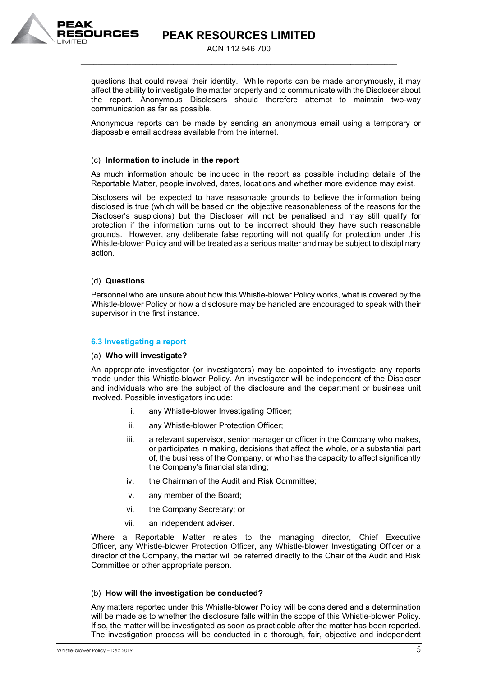

ACN 112 546 700 \_\_\_\_\_\_\_\_\_\_\_\_\_\_\_\_\_\_\_\_\_\_\_\_\_\_\_\_\_\_\_\_\_\_\_\_\_\_\_\_\_\_\_\_\_\_\_\_\_\_\_\_\_\_\_\_\_\_\_\_\_\_\_\_\_\_\_\_\_\_\_\_\_\_\_

questions that could reveal their identity. While reports can be made anonymously, it may affect the ability to investigate the matter properly and to communicate with the Discloser about the report. Anonymous Disclosers should therefore attempt to maintain two-way communication as far as possible.

Anonymous reports can be made by sending an anonymous email using a temporary or disposable email address available from the internet.

# (c) **Information to include in the report**

As much information should be included in the report as possible including details of the Reportable Matter, people involved, dates, locations and whether more evidence may exist.

Disclosers will be expected to have reasonable grounds to believe the information being disclosed is true (which will be based on the objective reasonableness of the reasons for the Discloser's suspicions) but the Discloser will not be penalised and may still qualify for protection if the information turns out to be incorrect should they have such reasonable grounds. However, any deliberate false reporting will not qualify for protection under this Whistle-blower Policy and will be treated as a serious matter and may be subject to disciplinary action.

# (d) **Questions**

Personnel who are unsure about how this Whistle-blower Policy works, what is covered by the Whistle-blower Policy or how a disclosure may be handled are encouraged to speak with their supervisor in the first instance.

# **6.3 Investigating a report**

### (a) **Who will investigate?**

An appropriate investigator (or investigators) may be appointed to investigate any reports made under this Whistle-blower Policy. An investigator will be independent of the Discloser and individuals who are the subject of the disclosure and the department or business unit involved. Possible investigators include:

- i. any Whistle-blower Investigating Officer;
- ii. any Whistle-blower Protection Officer;
- iii. a relevant supervisor, senior manager or officer in the Company who makes, or participates in making, decisions that affect the whole, or a substantial part of, the business of the Company, or who has the capacity to affect significantly the Company's financial standing;
- iv. the Chairman of the Audit and Risk Committee;
- v. any member of the Board;
- vi. the Company Secretary; or
- vii. an independent adviser.

Where a Reportable Matter relates to the managing director, Chief Executive Officer, any Whistle-blower Protection Officer, any Whistle-blower Investigating Officer or a director of the Company, the matter will be referred directly to the Chair of the Audit and Risk Committee or other appropriate person.

# (b) **How will the investigation be conducted?**

Any matters reported under this Whistle-blower Policy will be considered and a determination will be made as to whether the disclosure falls within the scope of this Whistle-blower Policy. If so, the matter will be investigated as soon as practicable after the matter has been reported. The investigation process will be conducted in a thorough, fair, objective and independent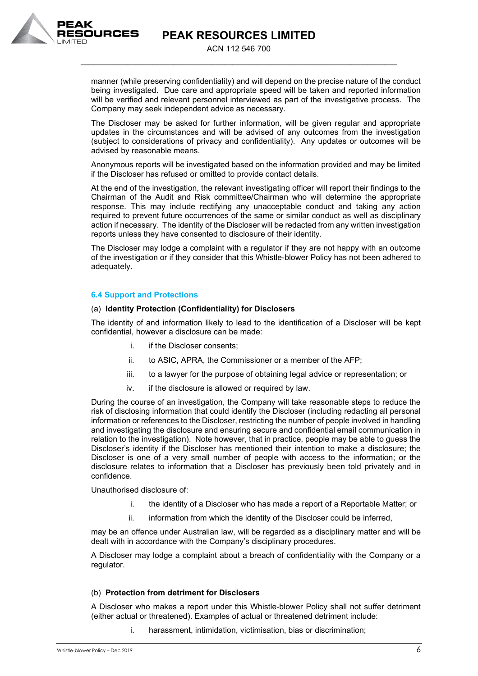

ACN 112 546 700 \_\_\_\_\_\_\_\_\_\_\_\_\_\_\_\_\_\_\_\_\_\_\_\_\_\_\_\_\_\_\_\_\_\_\_\_\_\_\_\_\_\_\_\_\_\_\_\_\_\_\_\_\_\_\_\_\_\_\_\_\_\_\_\_\_\_\_\_\_\_\_\_\_\_\_

manner (while preserving confidentiality) and will depend on the precise nature of the conduct being investigated. Due care and appropriate speed will be taken and reported information will be verified and relevant personnel interviewed as part of the investigative process. The Company may seek independent advice as necessary.

The Discloser may be asked for further information, will be given regular and appropriate updates in the circumstances and will be advised of any outcomes from the investigation (subject to considerations of privacy and confidentiality). Any updates or outcomes will be advised by reasonable means.

Anonymous reports will be investigated based on the information provided and may be limited if the Discloser has refused or omitted to provide contact details.

At the end of the investigation, the relevant investigating officer will report their findings to the Chairman of the Audit and Risk committee/Chairman who will determine the appropriate response. This may include rectifying any unacceptable conduct and taking any action required to prevent future occurrences of the same or similar conduct as well as disciplinary action if necessary. The identity of the Discloser will be redacted from any written investigation reports unless they have consented to disclosure of their identity.

The Discloser may lodge a complaint with a regulator if they are not happy with an outcome of the investigation or if they consider that this Whistle-blower Policy has not been adhered to adequately.

### **6.4 Support and Protections**

### (a) **Identity Protection (Confidentiality) for Disclosers**

The identity of and information likely to lead to the identification of a Discloser will be kept confidential, however a disclosure can be made:

- i. if the Discloser consents:
- ii. to ASIC, APRA, the Commissioner or a member of the AFP;
- iii. to a lawyer for the purpose of obtaining legal advice or representation; or
- iv. if the disclosure is allowed or required by law.

During the course of an investigation, the Company will take reasonable steps to reduce the risk of disclosing information that could identify the Discloser (including redacting all personal information or references to the Discloser, restricting the number of people involved in handling and investigating the disclosure and ensuring secure and confidential email communication in relation to the investigation). Note however, that in practice, people may be able to guess the Discloser's identity if the Discloser has mentioned their intention to make a disclosure; the Discloser is one of a very small number of people with access to the information; or the disclosure relates to information that a Discloser has previously been told privately and in confidence.

Unauthorised disclosure of:

- i. the identity of a Discloser who has made a report of a Reportable Matter; or
- ii. information from which the identity of the Discloser could be inferred,

may be an offence under Australian law, will be regarded as a disciplinary matter and will be dealt with in accordance with the Company's disciplinary procedures.

A Discloser may lodge a complaint about a breach of confidentiality with the Company or a regulator.

### (b) **Protection from detriment for Disclosers**

A Discloser who makes a report under this Whistle-blower Policy shall not suffer detriment (either actual or threatened). Examples of actual or threatened detriment include:

i. harassment, intimidation, victimisation, bias or discrimination;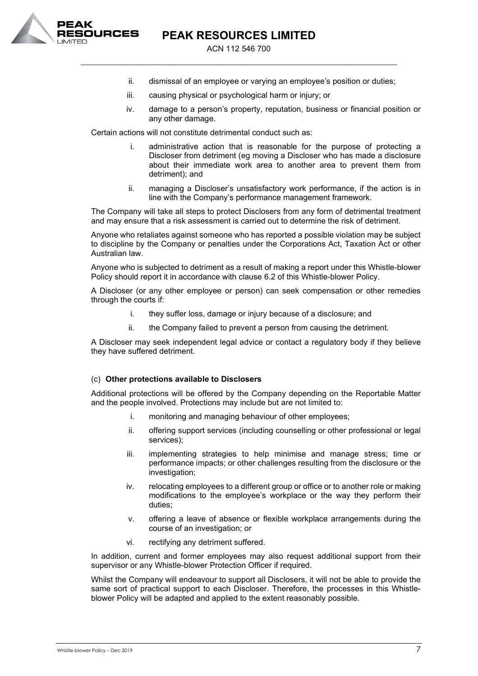

ACN 112 546 700 \_\_\_\_\_\_\_\_\_\_\_\_\_\_\_\_\_\_\_\_\_\_\_\_\_\_\_\_\_\_\_\_\_\_\_\_\_\_\_\_\_\_\_\_\_\_\_\_\_\_\_\_\_\_\_\_\_\_\_\_\_\_\_\_\_\_\_\_\_\_\_\_\_\_\_

- ii. dismissal of an employee or varying an employee's position or duties;
- iii. causing physical or psychological harm or injury; or
- iv. damage to a person's property, reputation, business or financial position or any other damage.

Certain actions will not constitute detrimental conduct such as:

- i. administrative action that is reasonable for the purpose of protecting a Discloser from detriment (eg moving a Discloser who has made a disclosure about their immediate work area to another area to prevent them from detriment); and
- ii. managing a Discloser's unsatisfactory work performance, if the action is in line with the Company's performance management framework.

The Company will take all steps to protect Disclosers from any form of detrimental treatment and may ensure that a risk assessment is carried out to determine the risk of detriment.

Anyone who retaliates against someone who has reported a possible violation may be subject to discipline by the Company or penalties under the Corporations Act, Taxation Act or other Australian law.

Anyone who is subjected to detriment as a result of making a report under this Whistle-blower Policy should report it in accordance with clause 6.2 of this Whistle-blower Policy.

A Discloser (or any other employee or person) can seek compensation or other remedies through the courts if:

- i. they suffer loss, damage or injury because of a disclosure; and
- ii. the Company failed to prevent a person from causing the detriment.

A Discloser may seek independent legal advice or contact a regulatory body if they believe they have suffered detriment.

# (c) **Other protections available to Disclosers**

Additional protections will be offered by the Company depending on the Reportable Matter and the people involved. Protections may include but are not limited to:

- i. monitoring and managing behaviour of other employees;
- ii. offering support services (including counselling or other professional or legal services);
- iii. implementing strategies to help minimise and manage stress; time or performance impacts; or other challenges resulting from the disclosure or the investigation;
- iv. relocating employees to a different group or office or to another role or making modifications to the employee's workplace or the way they perform their duties;
- v. offering a leave of absence or flexible workplace arrangements during the course of an investigation; or
- vi. rectifying any detriment suffered.

In addition, current and former employees may also request additional support from their supervisor or any Whistle-blower Protection Officer if required.

Whilst the Company will endeavour to support all Disclosers, it will not be able to provide the same sort of practical support to each Discloser. Therefore, the processes in this Whistleblower Policy will be adapted and applied to the extent reasonably possible.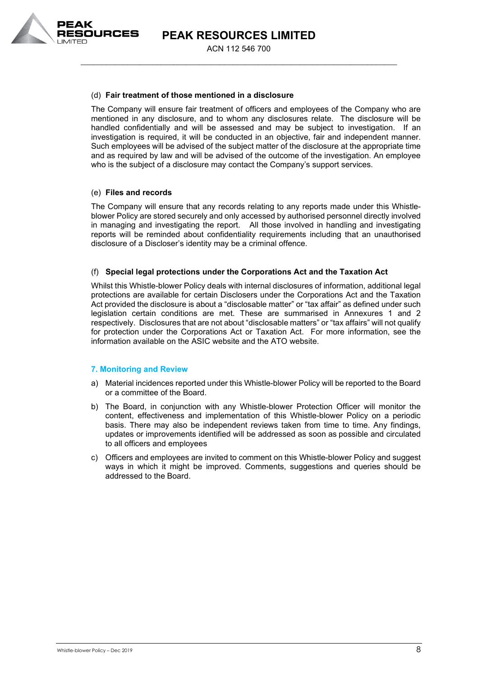

ACN 112 546 700 \_\_\_\_\_\_\_\_\_\_\_\_\_\_\_\_\_\_\_\_\_\_\_\_\_\_\_\_\_\_\_\_\_\_\_\_\_\_\_\_\_\_\_\_\_\_\_\_\_\_\_\_\_\_\_\_\_\_\_\_\_\_\_\_\_\_\_\_\_\_\_\_\_\_\_

# (d) **Fair treatment of those mentioned in a disclosure**

The Company will ensure fair treatment of officers and employees of the Company who are mentioned in any disclosure, and to whom any disclosures relate. The disclosure will be handled confidentially and will be assessed and may be subject to investigation. If an investigation is required, it will be conducted in an objective, fair and independent manner. Such employees will be advised of the subject matter of the disclosure at the appropriate time and as required by law and will be advised of the outcome of the investigation. An employee who is the subject of a disclosure may contact the Company's support services.

# (e) **Files and records**

The Company will ensure that any records relating to any reports made under this Whistleblower Policy are stored securely and only accessed by authorised personnel directly involved in managing and investigating the report. All those involved in handling and investigating reports will be reminded about confidentiality requirements including that an unauthorised disclosure of a Discloser's identity may be a criminal offence.

# (f) **Special legal protections under the Corporations Act and the Taxation Act**

Whilst this Whistle-blower Policy deals with internal disclosures of information, additional legal protections are available for certain Disclosers under the Corporations Act and the Taxation Act provided the disclosure is about a "disclosable matter" or "tax affair" as defined under such legislation certain conditions are met. These are summarised in Annexures 1 and 2 respectively. Disclosures that are not about "disclosable matters" or "tax affairs" will not qualify for protection under the Corporations Act or Taxation Act. For more information, see the information available on the ASIC website and the ATO website.

# **7. Monitoring and Review**

- a) Material incidences reported under this Whistle-blower Policy will be reported to the Board or a committee of the Board.
- b) The Board, in conjunction with any Whistle-blower Protection Officer will monitor the content, effectiveness and implementation of this Whistle-blower Policy on a periodic basis. There may also be independent reviews taken from time to time. Any findings, updates or improvements identified will be addressed as soon as possible and circulated to all officers and employees
- c) Officers and employees are invited to comment on this Whistle-blower Policy and suggest ways in which it might be improved. Comments, suggestions and queries should be addressed to the Board.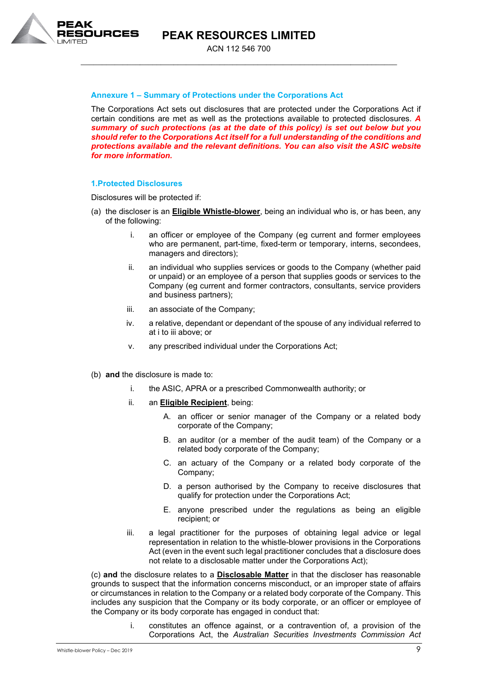

ACN 112 546 700 \_\_\_\_\_\_\_\_\_\_\_\_\_\_\_\_\_\_\_\_\_\_\_\_\_\_\_\_\_\_\_\_\_\_\_\_\_\_\_\_\_\_\_\_\_\_\_\_\_\_\_\_\_\_\_\_\_\_\_\_\_\_\_\_\_\_\_\_\_\_\_\_\_\_\_

# **Annexure 1 – Summary of Protections under the Corporations Act**

The Corporations Act sets out disclosures that are protected under the Corporations Act if certain conditions are met as well as the protections available to protected disclosures. *A summary of such protections (as at the date of this policy) is set out below but you should refer to the Corporations Act itself for a full understanding of the conditions and protections available and the relevant definitions. You can also visit the ASIC website for more information.*

### **1.Protected Disclosures**

Disclosures will be protected if:

- (a) the discloser is an **Eligible Whistle-blower**, being an individual who is, or has been, any of the following:
	- i. an officer or employee of the Company (eg current and former employees who are permanent, part-time, fixed-term or temporary, interns, secondees, managers and directors);
	- ii. an individual who supplies services or goods to the Company (whether paid or unpaid) or an employee of a person that supplies goods or services to the Company (eg current and former contractors, consultants, service providers and business partners);
	- iii. an associate of the Company;
	- iv. a relative, dependant or dependant of the spouse of any individual referred to at i to iii above; or
	- v. any prescribed individual under the Corporations Act;
- (b) **and** the disclosure is made to:
	- i. the ASIC, APRA or a prescribed Commonwealth authority; or
	- ii. an **Eligible Recipient**, being:
		- A. an officer or senior manager of the Company or a related body corporate of the Company;
		- B. an auditor (or a member of the audit team) of the Company or a related body corporate of the Company;
		- C. an actuary of the Company or a related body corporate of the Company;
		- D. a person authorised by the Company to receive disclosures that qualify for protection under the Corporations Act;
		- E. anyone prescribed under the regulations as being an eligible recipient; or
	- iii. a legal practitioner for the purposes of obtaining legal advice or legal representation in relation to the whistle-blower provisions in the Corporations Act (even in the event such legal practitioner concludes that a disclosure does not relate to a disclosable matter under the Corporations Act);

(c) **and** the disclosure relates to a **Disclosable Matter** in that the discloser has reasonable grounds to suspect that the information concerns misconduct, or an improper state of affairs or circumstances in relation to the Company or a related body corporate of the Company. This includes any suspicion that the Company or its body corporate, or an officer or employee of the Company or its body corporate has engaged in conduct that:

> i. constitutes an offence against, or a contravention of, a provision of the Corporations Act, the *Australian Securities Investments Commission Act*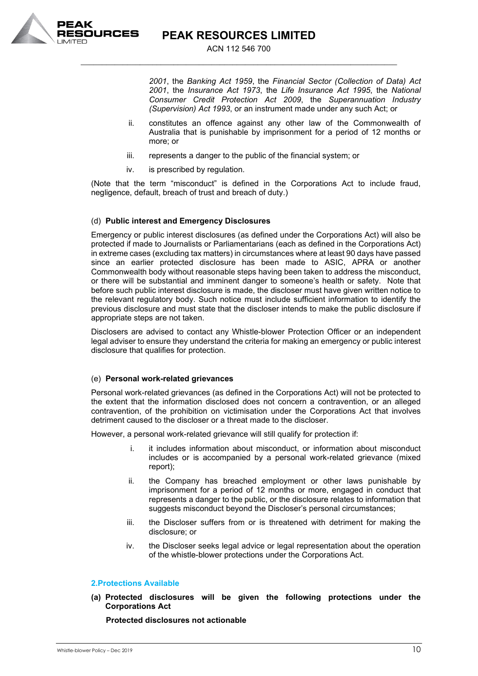

ACN 112 546 700 \_\_\_\_\_\_\_\_\_\_\_\_\_\_\_\_\_\_\_\_\_\_\_\_\_\_\_\_\_\_\_\_\_\_\_\_\_\_\_\_\_\_\_\_\_\_\_\_\_\_\_\_\_\_\_\_\_\_\_\_\_\_\_\_\_\_\_\_\_\_\_\_\_\_\_

> *2001*, the *Banking Act 1959*, the *Financial Sector (Collection of Data) Act 2001*, the *Insurance Act 1973*, the *Life Insurance Act 1995*, the *National Consumer Credit Protection Act 2009*, the *Superannuation Industry (Supervision) Act 1993*, or an instrument made under any such Act; or

- ii. constitutes an offence against any other law of the Commonwealth of Australia that is punishable by imprisonment for a period of 12 months or more; or
- iii. represents a danger to the public of the financial system; or
- iv. is prescribed by regulation.

(Note that the term "misconduct" is defined in the Corporations Act to include fraud, negligence, default, breach of trust and breach of duty.)

### (d) **Public interest and Emergency Disclosures**

Emergency or public interest disclosures (as defined under the Corporations Act) will also be protected if made to Journalists or Parliamentarians (each as defined in the Corporations Act) in extreme cases (excluding tax matters) in circumstances where at least 90 days have passed since an earlier protected disclosure has been made to ASIC, APRA or another Commonwealth body without reasonable steps having been taken to address the misconduct, or there will be substantial and imminent danger to someone's health or safety. Note that before such public interest disclosure is made, the discloser must have given written notice to the relevant regulatory body. Such notice must include sufficient information to identify the previous disclosure and must state that the discloser intends to make the public disclosure if appropriate steps are not taken.

Disclosers are advised to contact any Whistle-blower Protection Officer or an independent legal adviser to ensure they understand the criteria for making an emergency or public interest disclosure that qualifies for protection.

### (e) **Personal work-related grievances**

Personal work-related grievances (as defined in the Corporations Act) will not be protected to the extent that the information disclosed does not concern a contravention, or an alleged contravention, of the prohibition on victimisation under the Corporations Act that involves detriment caused to the discloser or a threat made to the discloser.

However, a personal work-related grievance will still qualify for protection if:

- i. it includes information about misconduct, or information about misconduct includes or is accompanied by a personal work-related grievance (mixed report);
- ii. the Company has breached employment or other laws punishable by imprisonment for a period of 12 months or more, engaged in conduct that represents a danger to the public, or the disclosure relates to information that suggests misconduct beyond the Discloser's personal circumstances;
- iii. the Discloser suffers from or is threatened with detriment for making the disclosure; or
- iv. the Discloser seeks legal advice or legal representation about the operation of the whistle-blower protections under the Corporations Act.

# **2.Protections Available**

**(a) Protected disclosures will be given the following protections under the Corporations Act**

 **Protected disclosures not actionable**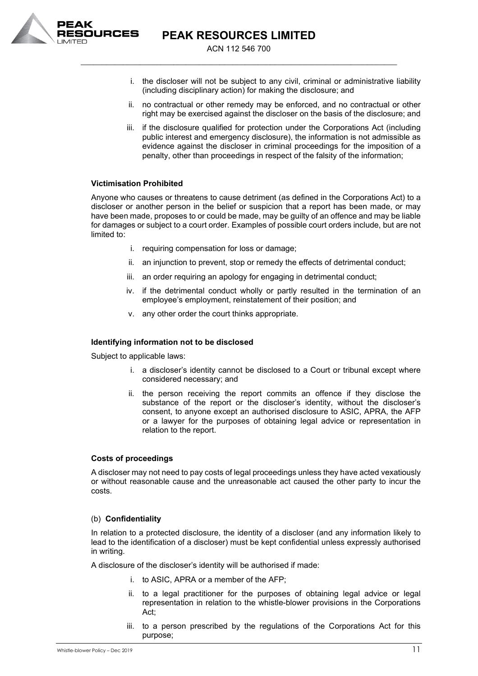

ACN 112 546 700 \_\_\_\_\_\_\_\_\_\_\_\_\_\_\_\_\_\_\_\_\_\_\_\_\_\_\_\_\_\_\_\_\_\_\_\_\_\_\_\_\_\_\_\_\_\_\_\_\_\_\_\_\_\_\_\_\_\_\_\_\_\_\_\_\_\_\_\_\_\_\_\_\_\_\_

- i. the discloser will not be subject to any civil, criminal or administrative liability (including disciplinary action) for making the disclosure; and
- ii. no contractual or other remedy may be enforced, and no contractual or other right may be exercised against the discloser on the basis of the disclosure; and
- iii. if the disclosure qualified for protection under the Corporations Act (including public interest and emergency disclosure), the information is not admissible as evidence against the discloser in criminal proceedings for the imposition of a penalty, other than proceedings in respect of the falsity of the information;

# **Victimisation Prohibited**

Anyone who causes or threatens to cause detriment (as defined in the Corporations Act) to a discloser or another person in the belief or suspicion that a report has been made, or may have been made, proposes to or could be made, may be guilty of an offence and may be liable for damages or subject to a court order. Examples of possible court orders include, but are not limited to:

- i. requiring compensation for loss or damage;
- ii. an injunction to prevent, stop or remedy the effects of detrimental conduct;
- iii. an order requiring an apology for engaging in detrimental conduct;
- iv. if the detrimental conduct wholly or partly resulted in the termination of an employee's employment, reinstatement of their position; and
- v. any other order the court thinks appropriate.

### **Identifying information not to be disclosed**

Subject to applicable laws:

- i. a discloser's identity cannot be disclosed to a Court or tribunal except where considered necessary; and
- ii. the person receiving the report commits an offence if they disclose the substance of the report or the discloser's identity, without the discloser's consent, to anyone except an authorised disclosure to ASIC, APRA, the AFP or a lawyer for the purposes of obtaining legal advice or representation in relation to the report.

# **Costs of proceedings**

A discloser may not need to pay costs of legal proceedings unless they have acted vexatiously or without reasonable cause and the unreasonable act caused the other party to incur the costs.

### (b) **Confidentiality**

In relation to a protected disclosure, the identity of a discloser (and any information likely to lead to the identification of a discloser) must be kept confidential unless expressly authorised in writing.

A disclosure of the discloser's identity will be authorised if made:

- i. to ASIC, APRA or a member of the AFP;
- ii. to a legal practitioner for the purposes of obtaining legal advice or legal representation in relation to the whistle-blower provisions in the Corporations Act;
- iii. to a person prescribed by the regulations of the Corporations Act for this purpose;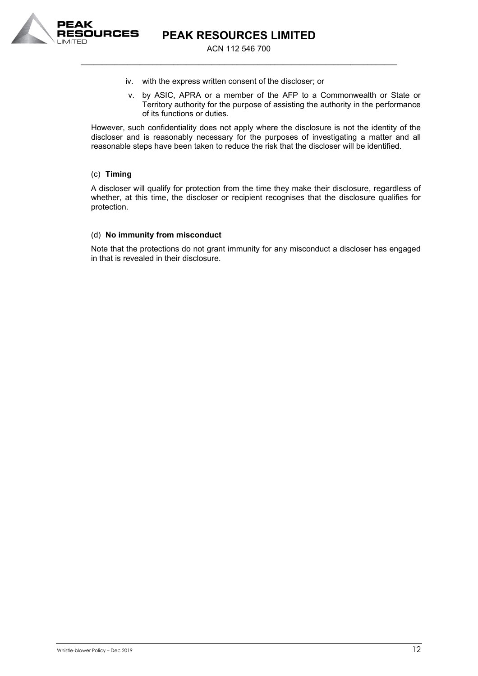

ACN 112 546 700 \_\_\_\_\_\_\_\_\_\_\_\_\_\_\_\_\_\_\_\_\_\_\_\_\_\_\_\_\_\_\_\_\_\_\_\_\_\_\_\_\_\_\_\_\_\_\_\_\_\_\_\_\_\_\_\_\_\_\_\_\_\_\_\_\_\_\_\_\_\_\_\_\_\_\_

- iv. with the express written consent of the discloser; or
- v. by ASIC, APRA or a member of the AFP to a Commonwealth or State or Territory authority for the purpose of assisting the authority in the performance of its functions or duties.

However, such confidentiality does not apply where the disclosure is not the identity of the discloser and is reasonably necessary for the purposes of investigating a matter and all reasonable steps have been taken to reduce the risk that the discloser will be identified.

# (c) **Timing**

A discloser will qualify for protection from the time they make their disclosure, regardless of whether, at this time, the discloser or recipient recognises that the disclosure qualifies for protection.

### (d) **No immunity from misconduct**

Note that the protections do not grant immunity for any misconduct a discloser has engaged in that is revealed in their disclosure.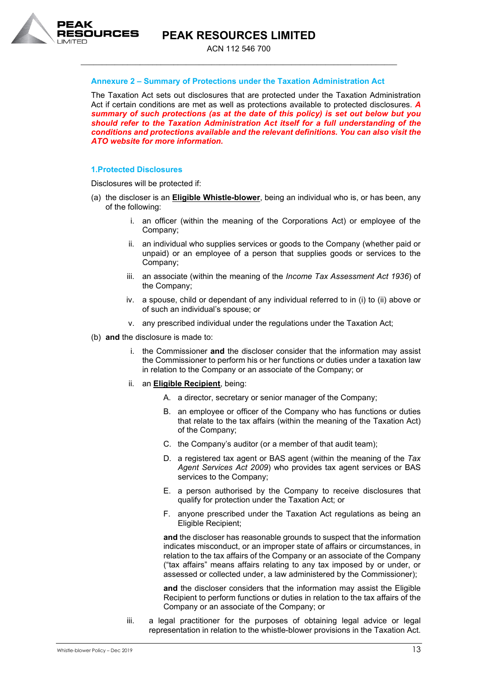

ACN 112 546 700 \_\_\_\_\_\_\_\_\_\_\_\_\_\_\_\_\_\_\_\_\_\_\_\_\_\_\_\_\_\_\_\_\_\_\_\_\_\_\_\_\_\_\_\_\_\_\_\_\_\_\_\_\_\_\_\_\_\_\_\_\_\_\_\_\_\_\_\_\_\_\_\_\_\_\_

### **Annexure 2 – Summary of Protections under the Taxation Administration Act**

The Taxation Act sets out disclosures that are protected under the Taxation Administration Act if certain conditions are met as well as protections available to protected disclosures. *A summary of such protections (as at the date of this policy) is set out below but you should refer to the Taxation Administration Act itself for a full understanding of the conditions and protections available and the relevant definitions. You can also visit the ATO website for more information.*

#### **1.Protected Disclosures**

Disclosures will be protected if:

- (a) the discloser is an **Eligible Whistle-blower**, being an individual who is, or has been, any of the following:
	- i. an officer (within the meaning of the Corporations Act) or employee of the Company;
	- ii. an individual who supplies services or goods to the Company (whether paid or unpaid) or an employee of a person that supplies goods or services to the Company;
	- iii. an associate (within the meaning of the *Income Tax Assessment Act 1936*) of the Company;
	- iv. a spouse, child or dependant of any individual referred to in (i) to (ii) above or of such an individual's spouse; or
	- v. any prescribed individual under the regulations under the Taxation Act;
- (b) **and** the disclosure is made to:
	- i. the Commissioner **and** the discloser consider that the information may assist the Commissioner to perform his or her functions or duties under a taxation law in relation to the Company or an associate of the Company; or
	- ii. an **Eligible Recipient**, being:
		- A. a director, secretary or senior manager of the Company;
		- B. an employee or officer of the Company who has functions or duties that relate to the tax affairs (within the meaning of the Taxation Act) of the Company;
		- C. the Company's auditor (or a member of that audit team);
		- D. a registered tax agent or BAS agent (within the meaning of the *Tax Agent Services Act 2009*) who provides tax agent services or BAS services to the Company;
		- E. a person authorised by the Company to receive disclosures that qualify for protection under the Taxation Act; or
		- F. anyone prescribed under the Taxation Act regulations as being an Eligible Recipient;

**and** the discloser has reasonable grounds to suspect that the information indicates misconduct, or an improper state of affairs or circumstances, in relation to the tax affairs of the Company or an associate of the Company ("tax affairs" means affairs relating to any tax imposed by or under, or assessed or collected under, a law administered by the Commissioner);

**and** the discloser considers that the information may assist the Eligible Recipient to perform functions or duties in relation to the tax affairs of the Company or an associate of the Company; or

iii. a legal practitioner for the purposes of obtaining legal advice or legal representation in relation to the whistle-blower provisions in the Taxation Act.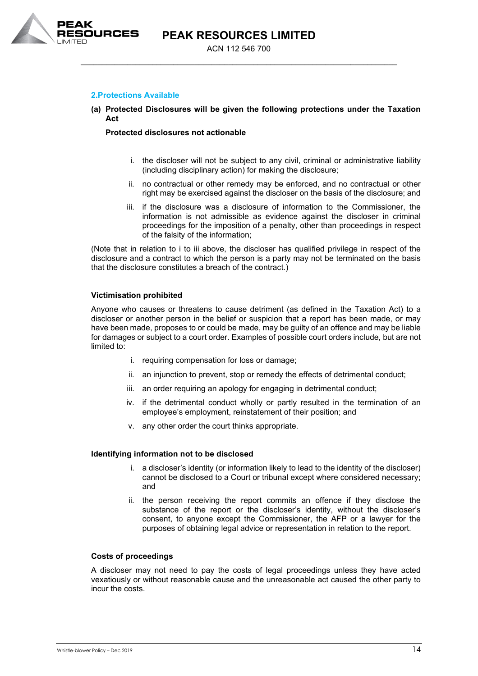

# **2.Protections Available**

### **(a) Protected Disclosures will be given the following protections under the Taxation Act**

### **Protected disclosures not actionable**

- i. the discloser will not be subject to any civil, criminal or administrative liability (including disciplinary action) for making the disclosure;
- ii. no contractual or other remedy may be enforced, and no contractual or other right may be exercised against the discloser on the basis of the disclosure; and
- iii. if the disclosure was a disclosure of information to the Commissioner, the information is not admissible as evidence against the discloser in criminal proceedings for the imposition of a penalty, other than proceedings in respect of the falsity of the information;

(Note that in relation to i to iii above, the discloser has qualified privilege in respect of the disclosure and a contract to which the person is a party may not be terminated on the basis that the disclosure constitutes a breach of the contract.)

### **Victimisation prohibited**

Anyone who causes or threatens to cause detriment (as defined in the Taxation Act) to a discloser or another person in the belief or suspicion that a report has been made, or may have been made, proposes to or could be made, may be guilty of an offence and may be liable for damages or subject to a court order. Examples of possible court orders include, but are not limited to:

- i. requiring compensation for loss or damage;
- ii. an injunction to prevent, stop or remedy the effects of detrimental conduct;
- iii. an order requiring an apology for engaging in detrimental conduct;
- iv. if the detrimental conduct wholly or partly resulted in the termination of an employee's employment, reinstatement of their position; and
- v. any other order the court thinks appropriate.

### **Identifying information not to be disclosed**

- i. a discloser's identity (or information likely to lead to the identity of the discloser) cannot be disclosed to a Court or tribunal except where considered necessary; and
- ii. the person receiving the report commits an offence if they disclose the substance of the report or the discloser's identity, without the discloser's consent, to anyone except the Commissioner, the AFP or a lawyer for the purposes of obtaining legal advice or representation in relation to the report.

### **Costs of proceedings**

A discloser may not need to pay the costs of legal proceedings unless they have acted vexatiously or without reasonable cause and the unreasonable act caused the other party to incur the costs.